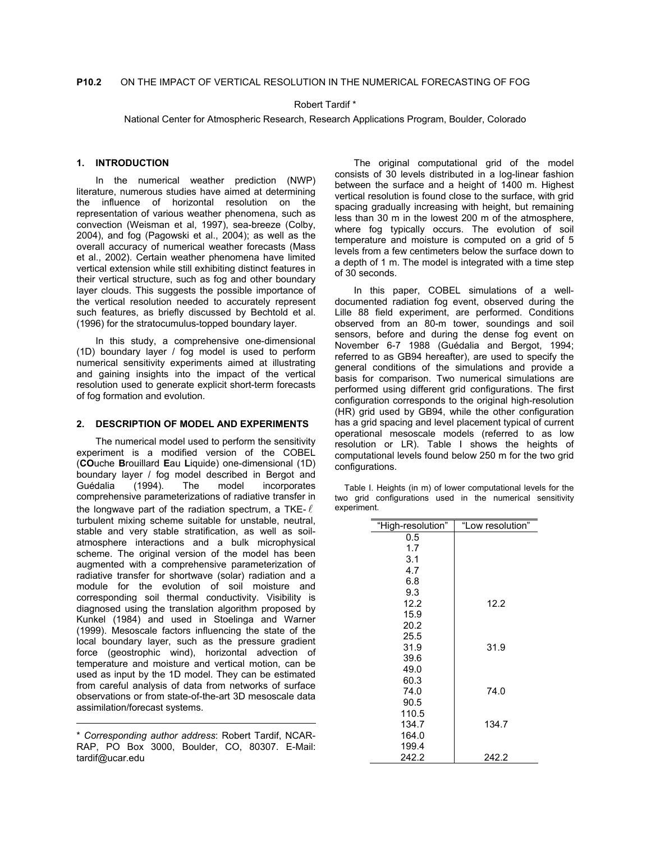# Robert Tardif \*

National Center for Atmospheric Research, Research Applications Program, Boulder, Colorado

# **1. INTRODUCTION**

In the numerical weather prediction (NWP) literature, numerous studies have aimed at determining the influence of horizontal resolution on the representation of various weather phenomena, such as convection (Weisman et al, 1997), sea-breeze (Colby, 2004), and fog (Pagowski et al., 2004); as well as the overall accuracy of numerical weather forecasts (Mass et al., 2002). Certain weather phenomena have limited vertical extension while still exhibiting distinct features in their vertical structure, such as fog and other boundary layer clouds. This suggests the possible importance of the vertical resolution needed to accurately represent such features, as briefly discussed by Bechtold et al. (1996) for the stratocumulus-topped boundary layer.

In this study, a comprehensive one-dimensional (1D) boundary layer / fog model is used to perform numerical sensitivity experiments aimed at illustrating and gaining insights into the impact of the vertical resolution used to generate explicit short-term forecasts of fog formation and evolution.

## **2. DESCRIPTION OF MODEL AND EXPERIMENTS**

The numerical model used to perform the sensitivity experiment is a modified version of the COBEL (**CO**uche **B**rouillard **E**au **L**iquide) one-dimensional (1D) boundary layer / fog model described in Bergot and Guédalia (1994). The model incorporates comprehensive parameterizations of radiative transfer in the longwave part of the radiation spectrum, a TKE- $\ell$ turbulent mixing scheme suitable for unstable, neutral, stable and very stable stratification, as well as soilatmosphere interactions and a bulk microphysical scheme. The original version of the model has been augmented with a comprehensive parameterization of radiative transfer for shortwave (solar) radiation and a module for the evolution of soil moisture and corresponding soil thermal conductivity. Visibility is diagnosed using the translation algorithm proposed by Kunkel (1984) and used in Stoelinga and Warner (1999). Mesoscale factors influencing the state of the local boundary layer, such as the pressure gradient force (geostrophic wind), horizontal advection of temperature and moisture and vertical motion, can be used as input by the 1D model. They can be estimated from careful analysis of data from networks of surface observations or from state-of-the-art 3D mesoscale data assimilation/forecast systems.

The original computational grid of the model consists of 30 levels distributed in a log-linear fashion between the surface and a height of 1400 m. Highest vertical resolution is found close to the surface, with grid spacing gradually increasing with height, but remaining less than 30 m in the lowest 200 m of the atmosphere, where fog typically occurs. The evolution of soil temperature and moisture is computed on a grid of 5 levels from a few centimeters below the surface down to a depth of 1 m. The model is integrated with a time step of 30 seconds.

In this paper, COBEL simulations of a welldocumented radiation fog event, observed during the Lille 88 field experiment, are performed. Conditions observed from an 80-m tower, soundings and soil sensors, before and during the dense fog event on November 6-7 1988 (Guédalia and Bergot, 1994; referred to as GB94 hereafter), are used to specify the general conditions of the simulations and provide a basis for comparison. Two numerical simulations are performed using different grid configurations. The first configuration corresponds to the original high-resolution (HR) grid used by GB94, while the other configuration has a grid spacing and level placement typical of current operational mesoscale models (referred to as low resolution or LR). Table I shows the heights of computational levels found below 250 m for the two grid configurations.

|             | Table I. Heights (in m) of lower computational levels for the |  |  |  |
|-------------|---------------------------------------------------------------|--|--|--|
|             | two grid configurations used in the numerical sensitivity     |  |  |  |
| experiment. |                                                               |  |  |  |

| "High-resolution" | "Low resolution" |
|-------------------|------------------|
| 0.5               |                  |
| 1.7               |                  |
| 3.1               |                  |
| 4.7               |                  |
| 6.8               |                  |
| 9.3               |                  |
| 12.2              | 12.2             |
| 15.9              |                  |
| 20.2              |                  |
| 25.5              |                  |
| 31.9              | 31.9             |
| 39.6              |                  |
| 49.0              |                  |
| 60.3              |                  |
| 74.0              | 74.0             |
| 90.5              |                  |
| 110.5             |                  |
| 134.7             | 134.7            |
| 164.0             |                  |
| 199.4             |                  |
| 242.2             | 242.2            |

<sup>\*</sup> *Corresponding author address*: Robert Tardif, NCAR-RAP, PO Box 3000, Boulder, CO, 80307. E-Mail: tardif@ucar.edu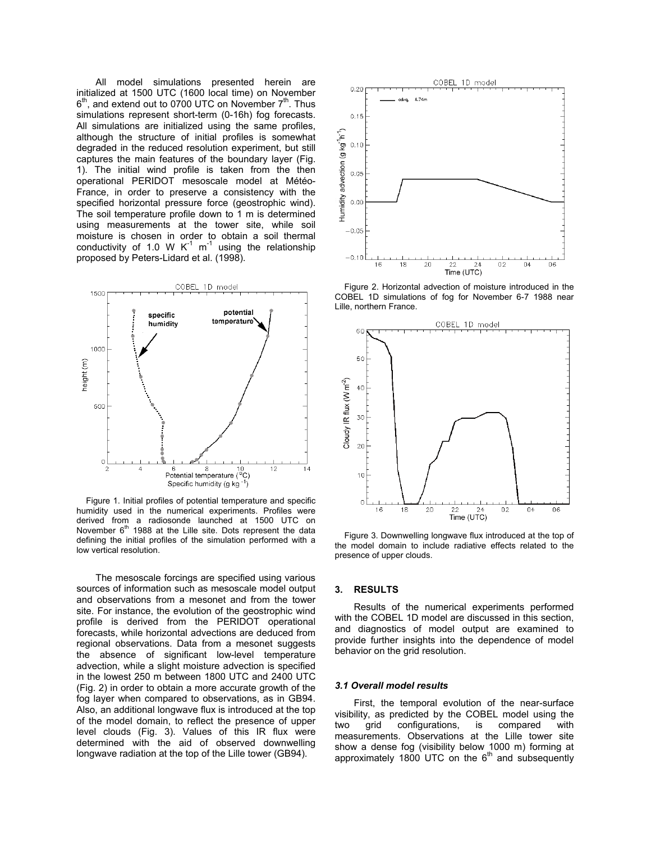All model simulations presented herein are initialized at 1500 UTC (1600 local time) on November  $6<sup>th</sup>$ , and extend out to 0700 UTC on November  $7<sup>th</sup>$ . Thus simulations represent short-term (0-16h) fog forecasts. All simulations are initialized using the same profiles, although the structure of initial profiles is somewhat degraded in the reduced resolution experiment, but still captures the main features of the boundary layer (Fig. 1). The initial wind profile is taken from the then operational PERIDOT mesoscale model at Météo-France, in order to preserve a consistency with the specified horizontal pressure force (geostrophic wind). The soil temperature profile down to 1 m is determined using measurements at the tower site, while soil moisture is chosen in order to obtain a soil thermal conductivity of 1.0 W  $K^{-1}$  m<sup>-1</sup> using the relationship proposed by Peters-Lidard et al. (1998).



Figure 1. Initial profiles of potential temperature and specific humidity used in the numerical experiments. Profiles were derived from a radiosonde launched at 1500 UTC on November  $6<sup>th</sup>$  1988 at the Lille site. Dots represent the data defining the initial profiles of the simulation performed with a low vertical resolution.

The mesoscale forcings are specified using various sources of information such as mesoscale model output and observations from a mesonet and from the tower site. For instance, the evolution of the geostrophic wind profile is derived from the PERIDOT operational forecasts, while horizontal advections are deduced from regional observations. Data from a mesonet suggests the absence of significant low-level temperature advection, while a slight moisture advection is specified in the lowest 250 m between 1800 UTC and 2400 UTC (Fig. 2) in order to obtain a more accurate growth of the fog layer when compared to observations, as in GB94. Also, an additional longwave flux is introduced at the top of the model domain, to reflect the presence of upper level clouds (Fig. 3). Values of this IR flux were determined with the aid of observed downwelling longwave radiation at the top of the Lille tower (GB94).



Figure 2. Horizontal advection of moisture introduced in the COBEL 1D simulations of fog for November 6-7 1988 near Lille, northern France.



Figure 3. Downwelling longwave flux introduced at the top of the model domain to include radiative effects related to the presence of upper clouds.

### **3. RESULTS**

Results of the numerical experiments performed with the COBEL 1D model are discussed in this section. and diagnostics of model output are examined to provide further insights into the dependence of model behavior on the grid resolution.

#### *3.1 Overall model results*

First, the temporal evolution of the near-surface visibility, as predicted by the COBEL model using the two grid configurations, is compared with measurements. Observations at the Lille tower site show a dense fog (visibility below 1000 m) forming at approximately 1800 UTC on the  $6<sup>th</sup>$  and subsequently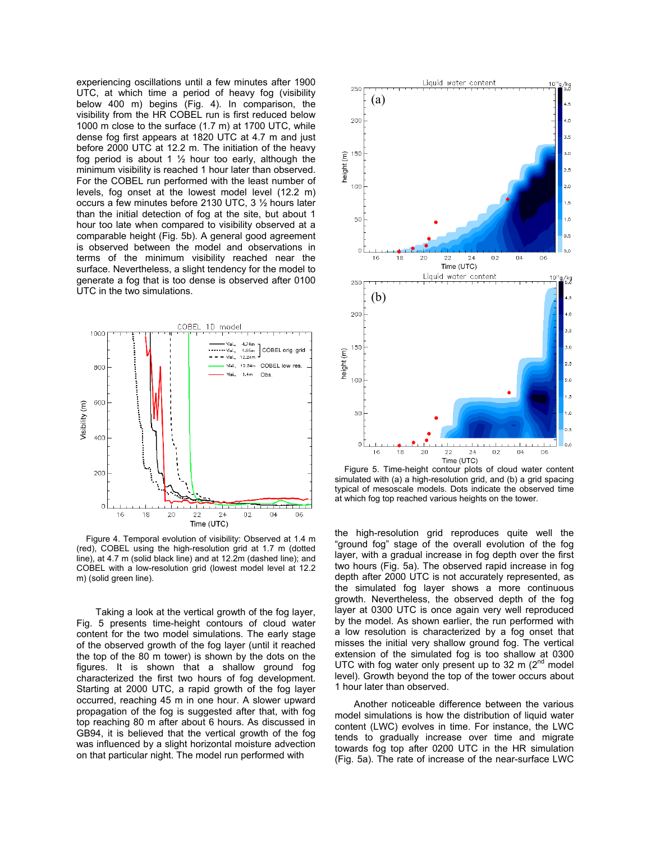experiencing oscillations until a few minutes after 1900 UTC, at which time a period of heavy fog (visibility below 400 m) begins (Fig. 4). In comparison, the visibility from the HR COBEL run is first reduced below 1000 m close to the surface (1.7 m) at 1700 UTC, while dense fog first appears at 1820 UTC at 4.7 m and just before 2000 UTC at 12.2 m. The initiation of the heavy fog period is about 1  $\frac{1}{2}$  hour too early, although the minimum visibility is reached 1 hour later than observed. For the COBEL run performed with the least number of levels, fog onset at the lowest model level (12.2 m) occurs a few minutes before 2130 UTC, 3 ½ hours later than the initial detection of fog at the site, but about 1 hour too late when compared to visibility observed at a comparable height (Fig. 5b). A general good agreement is observed between the model and observations in terms of the minimum visibility reached near the surface. Nevertheless, a slight tendency for the model to generate a fog that is too dense is observed after 0100 UTC in the two simulations.



Figure 4. Temporal evolution of visibility: Observed at 1.4 m (red), COBEL using the high-resolution grid at 1.7 m (dotted line), at 4.7 m (solid black line) and at 12.2m (dashed line); and COBEL with a low-resolution grid (lowest model level at 12.2 m) (solid green line).

Taking a look at the vertical growth of the fog layer, Fig. 5 presents time-height contours of cloud water content for the two model simulations. The early stage of the observed growth of the fog layer (until it reached the top of the 80 m tower) is shown by the dots on the figures. It is shown that a shallow ground fog characterized the first two hours of fog development. Starting at 2000 UTC, a rapid growth of the fog layer occurred, reaching 45 m in one hour. A slower upward propagation of the fog is suggested after that, with fog top reaching 80 m after about 6 hours. As discussed in GB94, it is believed that the vertical growth of the fog was influenced by a slight horizontal moisture advection on that particular night. The model run performed with



Figure 5. Time-height contour plots of cloud water content simulated with (a) a high-resolution grid, and (b) a grid spacing typical of mesoscale models. Dots indicate the observed time at which fog top reached various heights on the tower.

the high-resolution grid reproduces quite well the "ground fog" stage of the overall evolution of the fog layer, with a gradual increase in fog depth over the first two hours (Fig. 5a). The observed rapid increase in fog depth after 2000 UTC is not accurately represented, as the simulated fog layer shows a more continuous growth. Nevertheless, the observed depth of the fog layer at 0300 UTC is once again very well reproduced by the model. As shown earlier, the run performed with a low resolution is characterized by a fog onset that misses the initial very shallow ground fog. The vertical extension of the simulated fog is too shallow at 0300 UTC with fog water only present up to 32 m  $(2^{nd}$  model level). Growth beyond the top of the tower occurs about 1 hour later than observed.

Another noticeable difference between the various model simulations is how the distribution of liquid water content (LWC) evolves in time. For instance, the LWC tends to gradually increase over time and migrate towards fog top after 0200 UTC in the HR simulation (Fig. 5a). The rate of increase of the near-surface LWC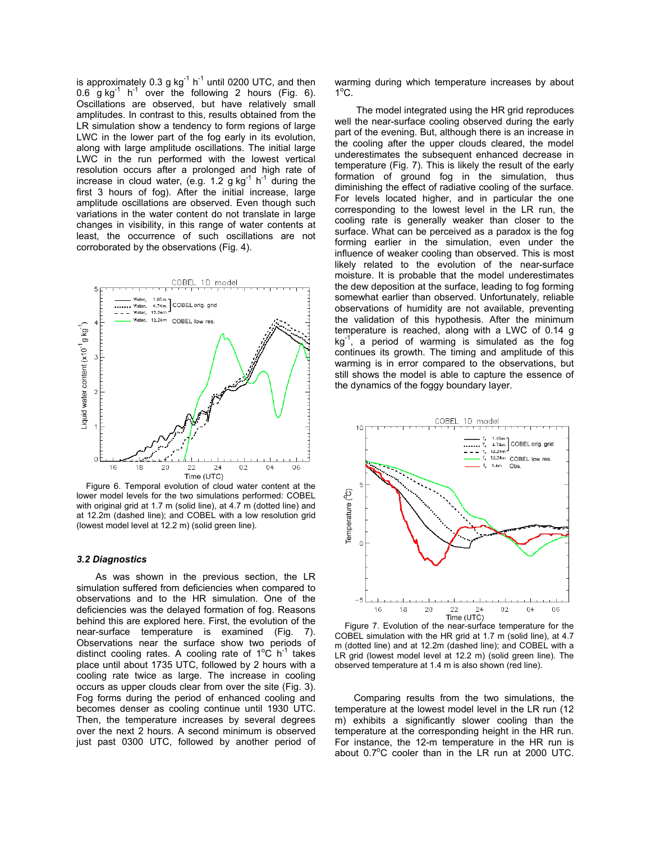is approximately 0.3 g  $kg^{-1}$  h<sup>-1</sup> until 0200 UTC, and then 0.6 g kg $^{-1}$  h $^{-1}$  over the following 2 hours (Fig. 6). Oscillations are observed, but have relatively small amplitudes. In contrast to this, results obtained from the LR simulation show a tendency to form regions of large LWC in the lower part of the fog early in its evolution, along with large amplitude oscillations. The initial large LWC in the run performed with the lowest vertical resolution occurs after a prolonged and high rate of increase in cloud water, (e.g. 1.2 g kg $^{-1}$  h $^{-1}$  during the first 3 hours of fog). After the initial increase, large amplitude oscillations are observed. Even though such variations in the water content do not translate in large changes in visibility, in this range of water contents at least, the occurrence of such oscillations are not corroborated by the observations (Fig. 4).



Figure 6. Temporal evolution of cloud water content at the lower model levels for the two simulations performed: COBEL with original grid at 1.7 m (solid line), at 4.7 m (dotted line) and at 12.2m (dashed line); and COBEL with a low resolution grid (lowest model level at 12.2 m) (solid green line).

### *3.2 Diagnostics*

As was shown in the previous section, the LR simulation suffered from deficiencies when compared to observations and to the HR simulation. One of the deficiencies was the delayed formation of fog. Reasons behind this are explored here. First, the evolution of the near-surface temperature is examined (Fig. 7). Observations near the surface show two periods of distinct cooling rates. A cooling rate of  $1^{\circ}$ C h<sup>-1</sup> takes place until about 1735 UTC, followed by 2 hours with a cooling rate twice as large. The increase in cooling occurs as upper clouds clear from over the site (Fig. 3). Fog forms during the period of enhanced cooling and becomes denser as cooling continue until 1930 UTC. Then, the temperature increases by several degrees over the next 2 hours. A second minimum is observed just past 0300 UTC, followed by another period of

warming during which temperature increases by about  $1^{\circ}$ C.

The model integrated using the HR grid reproduces well the near-surface cooling observed during the early part of the evening. But, although there is an increase in the cooling after the upper clouds cleared, the model underestimates the subsequent enhanced decrease in temperature (Fig. 7). This is likely the result of the early formation of ground fog in the simulation, thus diminishing the effect of radiative cooling of the surface. For levels located higher, and in particular the one corresponding to the lowest level in the LR run, the cooling rate is generally weaker than closer to the surface. What can be perceived as a paradox is the fog forming earlier in the simulation, even under the influence of weaker cooling than observed. This is most likely related to the evolution of the near-surface moisture. It is probable that the model underestimates the dew deposition at the surface, leading to fog forming somewhat earlier than observed. Unfortunately, reliable observations of humidity are not available, preventing the validation of this hypothesis. After the minimum temperature is reached, along with a LWC of 0.14 g  $kg<sup>-1</sup>$ , a period of warming is simulated as the fog continues its growth. The timing and amplitude of this warming is in error compared to the observations, but still shows the model is able to capture the essence of the dynamics of the foggy boundary layer.



Figure 7. Evolution of the near-surface temperature for the COBEL simulation with the HR grid at 1.7 m (solid line), at 4.7 m (dotted line) and at 12.2m (dashed line); and COBEL with a LR grid (lowest model level at 12.2 m) (solid green line). The observed temperature at 1.4 m is also shown (red line).

Comparing results from the two simulations, the temperature at the lowest model level in the LR run (12 m) exhibits a significantly slower cooling than the temperature at the corresponding height in the HR run. For instance, the 12-m temperature in the HR run is about  $0.7^{\circ}$ C cooler than in the LR run at 2000 UTC.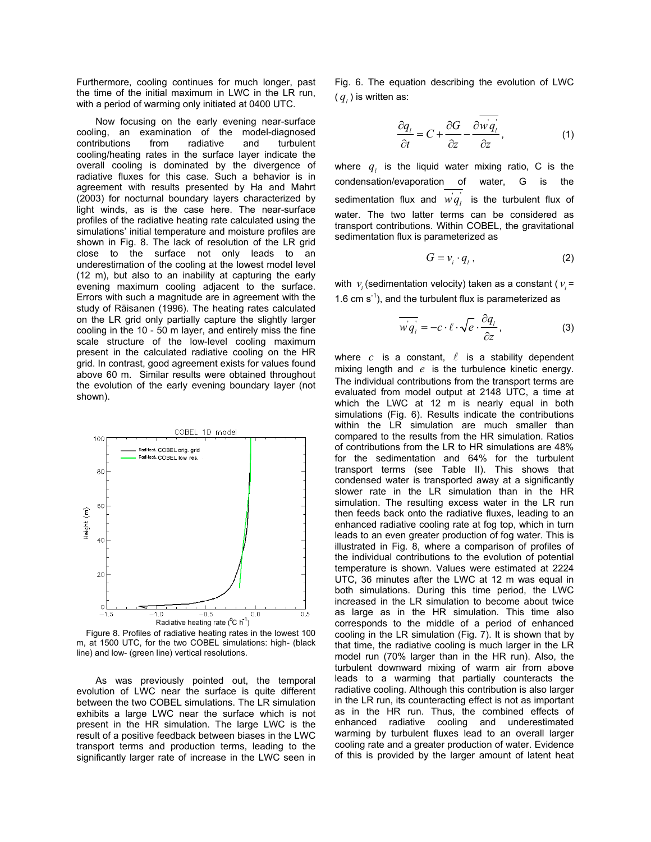Furthermore, cooling continues for much longer, past the time of the initial maximum in LWC in the LR run, with a period of warming only initiated at 0400 UTC.

Now focusing on the early evening near-surface cooling, an examination of the model-diagnosed contributions from radiative and turbulent cooling/heating rates in the surface layer indicate the overall cooling is dominated by the divergence of radiative fluxes for this case. Such a behavior is in agreement with results presented by Ha and Mahrt (2003) for nocturnal boundary layers characterized by light winds, as is the case here. The near-surface profiles of the radiative heating rate calculated using the simulations' initial temperature and moisture profiles are shown in Fig. 8. The lack of resolution of the LR grid close to the surface not only leads to an underestimation of the cooling at the lowest model level (12 m), but also to an inability at capturing the early evening maximum cooling adjacent to the surface. Errors with such a magnitude are in agreement with the study of Räisanen (1996). The heating rates calculated on the LR grid only partially capture the slightly larger cooling in the 10 - 50 m layer, and entirely miss the fine scale structure of the low-level cooling maximum present in the calculated radiative cooling on the HR grid. In contrast, good agreement exists for values found above 60 m. Similar results were obtained throughout the evolution of the early evening boundary layer (not shown).



Figure 8. Profiles of radiative heating rates in the lowest 100 m, at 1500 UTC, for the two COBEL simulations: high- (black line) and low- (green line) vertical resolutions.

As was previously pointed out, the temporal evolution of LWC near the surface is quite different between the two COBEL simulations. The LR simulation exhibits a large LWC near the surface which is not present in the HR simulation. The large LWC is the result of a positive feedback between biases in the LWC transport terms and production terms, leading to the significantly larger rate of increase in the LWC seen in

Fig. 6. The equation describing the evolution of LWC  $(q_i)$  is written as:

$$
\frac{\partial q_i}{\partial t} = C + \frac{\partial G}{\partial z} - \frac{\partial w q_i}{\partial z},\tag{1}
$$

where  $q_i$  is the liquid water mixing ratio, C is the condensation/evaporation of water, G is the sedimentation flux and  $w^{'}$ is the turbulent flux of water. The two latter terms can be considered as transport contributions. Within COBEL, the gravitational sedimentation flux is parameterized as

$$
G = v_i \cdot q_i \,, \tag{2}
$$

with  $v_i$  (sedimentation velocity) taken as a constant ( $v_i$  = 1.6 cm  $s^{-1}$ ), and the turbulent flux is parameterized as

$$
\overline{wq_i} = -c \cdot \ell \cdot \sqrt{e} \cdot \frac{\partial q_i}{\partial z},
$$
 (3)

where  $c$  is a constant,  $\ell$  is a stability dependent mixing length and *e* is the turbulence kinetic energy. The individual contributions from the transport terms are evaluated from model output at 2148 UTC, a time at which the LWC at 12 m is nearly equal in both simulations (Fig. 6). Results indicate the contributions within the LR simulation are much smaller than compared to the results from the HR simulation. Ratios of contributions from the LR to HR simulations are 48% for the sedimentation and 64% for the turbulent transport terms (see Table II). This shows that condensed water is transported away at a significantly slower rate in the LR simulation than in the HR simulation. The resulting excess water in the LR run then feeds back onto the radiative fluxes, leading to an enhanced radiative cooling rate at fog top, which in turn leads to an even greater production of fog water. This is illustrated in Fig. 8, where a comparison of profiles of the individual contributions to the evolution of potential temperature is shown. Values were estimated at 2224 UTC, 36 minutes after the LWC at 12 m was equal in both simulations. During this time period, the LWC increased in the LR simulation to become about twice as large as in the HR simulation. This time also corresponds to the middle of a period of enhanced cooling in the LR simulation (Fig. 7). It is shown that by that time, the radiative cooling is much larger in the LR model run (70% larger than in the HR run). Also, the turbulent downward mixing of warm air from above leads to a warming that partially counteracts the radiative cooling. Although this contribution is also larger in the LR run, its counteracting effect is not as important as in the HR run. Thus, the combined effects of enhanced radiative cooling and underestimated warming by turbulent fluxes lead to an overall larger cooling rate and a greater production of water. Evidence of this is provided by the larger amount of latent heat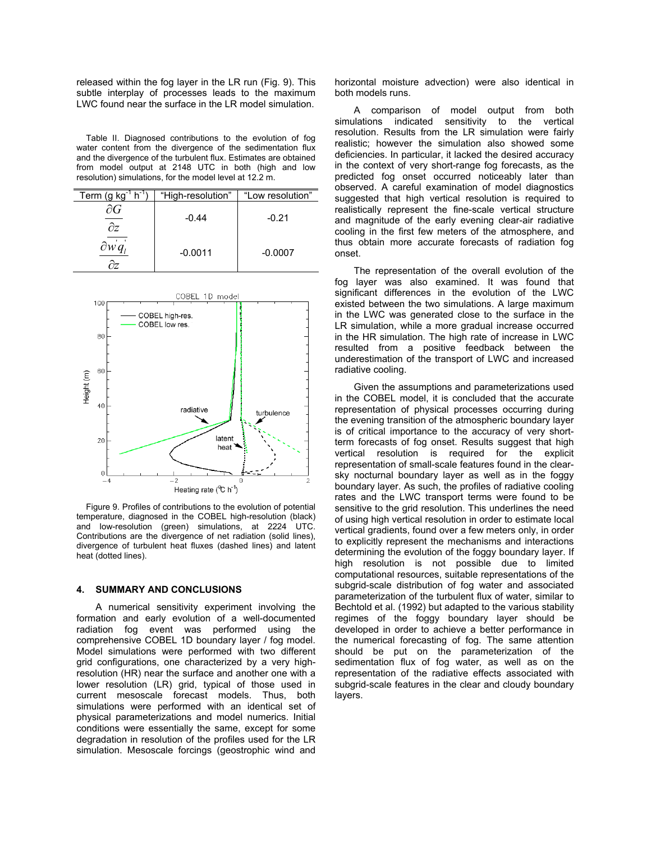released within the fog layer in the LR run (Fig. 9). This subtle interplay of processes leads to the maximum LWC found near the surface in the LR model simulation.

Table II. Diagnosed contributions to the evolution of fog water content from the divergence of the sedimentation flux and the divergence of the turbulent flux. Estimates are obtained from model output at 2148 UTC in both (high and low resolution) simulations, for the model level at 12.2 m.

| h <sup>-1</sup><br>Term (g $kg^{-1}$ | "High-resolution" | "Low resolution" |
|--------------------------------------|-------------------|------------------|
| OΖ                                   | $-0.44$           | $-0.21$          |
|                                      | $-0.0011$         | $-0.0007$        |



Figure 9. Profiles of contributions to the evolution of potential temperature, diagnosed in the COBEL high-resolution (black) and low-resolution (green) simulations, at 2224 UTC. Contributions are the divergence of net radiation (solid lines), divergence of turbulent heat fluxes (dashed lines) and latent heat (dotted lines).

# **4. SUMMARY AND CONCLUSIONS**

A numerical sensitivity experiment involving the formation and early evolution of a well-documented radiation fog event was performed using the comprehensive COBEL 1D boundary layer / fog model. Model simulations were performed with two different grid configurations, one characterized by a very highresolution (HR) near the surface and another one with a lower resolution (LR) grid, typical of those used in current mesoscale forecast models. Thus, both simulations were performed with an identical set of physical parameterizations and model numerics. Initial conditions were essentially the same, except for some degradation in resolution of the profiles used for the LR simulation. Mesoscale forcings (geostrophic wind and

horizontal moisture advection) were also identical in both models runs.

A comparison of model output from both simulations indicated sensitivity to the vertical resolution. Results from the LR simulation were fairly realistic; however the simulation also showed some deficiencies. In particular, it lacked the desired accuracy in the context of very short-range fog forecasts, as the predicted fog onset occurred noticeably later than observed. A careful examination of model diagnostics suggested that high vertical resolution is required to realistically represent the fine-scale vertical structure and magnitude of the early evening clear-air radiative cooling in the first few meters of the atmosphere, and thus obtain more accurate forecasts of radiation fog onset.

The representation of the overall evolution of the fog layer was also examined. It was found that significant differences in the evolution of the LWC existed between the two simulations. A large maximum in the LWC was generated close to the surface in the LR simulation, while a more gradual increase occurred in the HR simulation. The high rate of increase in LWC resulted from a positive feedback between the underestimation of the transport of LWC and increased radiative cooling.

Given the assumptions and parameterizations used in the COBEL model, it is concluded that the accurate representation of physical processes occurring during the evening transition of the atmospheric boundary layer is of critical importance to the accuracy of very shortterm forecasts of fog onset. Results suggest that high vertical resolution is required for the explicit representation of small-scale features found in the clearsky nocturnal boundary layer as well as in the foggy boundary layer. As such, the profiles of radiative cooling rates and the LWC transport terms were found to be sensitive to the grid resolution. This underlines the need of using high vertical resolution in order to estimate local vertical gradients, found over a few meters only, in order to explicitly represent the mechanisms and interactions determining the evolution of the foggy boundary layer. If high resolution is not possible due to limited computational resources, suitable representations of the subgrid-scale distribution of fog water and associated parameterization of the turbulent flux of water, similar to Bechtold et al. (1992) but adapted to the various stability regimes of the foggy boundary layer should be developed in order to achieve a better performance in the numerical forecasting of fog. The same attention should be put on the parameterization of the sedimentation flux of fog water, as well as on the representation of the radiative effects associated with subgrid-scale features in the clear and cloudy boundary layers.